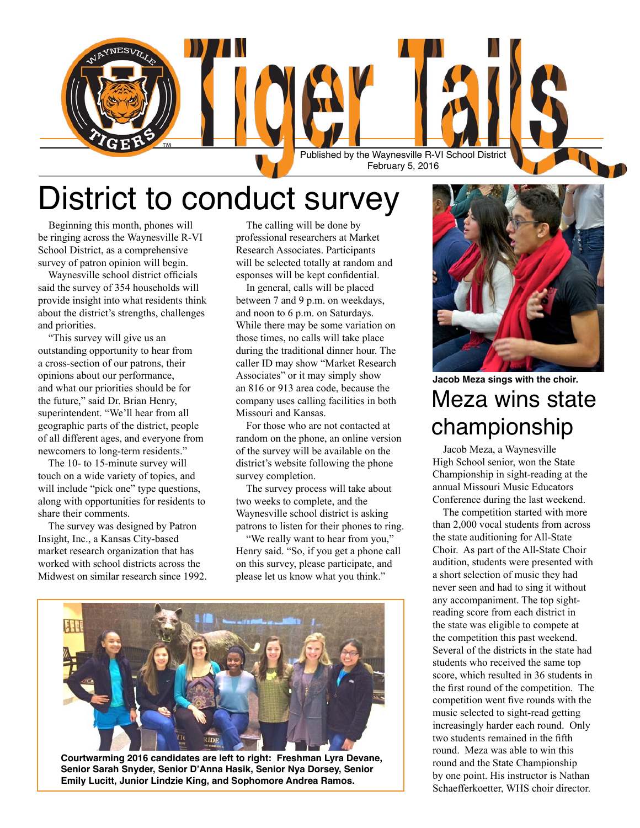

## District to conduct survey

 Beginning this month, phones will be ringing across the Waynesville R-VI School District, as a comprehensive survey of patron opinion will begin.

 Waynesville school district officials said the survey of 354 households will provide insight into what residents think about the district's strengths, challenges and priorities.

 "This survey will give us an outstanding opportunity to hear from a cross-section of our patrons, their opinions about our performance, and what our priorities should be for the future," said Dr. Brian Henry, superintendent. "We'll hear from all geographic parts of the district, people of all different ages, and everyone from newcomers to long-term residents."

 The 10- to 15-minute survey will touch on a wide variety of topics, and will include "pick one" type questions, along with opportunities for residents to share their comments.

 The survey was designed by Patron Insight, Inc., a Kansas City-based market research organization that has worked with school districts across the Midwest on similar research since 1992.

 The calling will be done by professional researchers at Market Research Associates. Participants will be selected totally at random and esponses will be kept confidential.

 In general, calls will be placed between 7 and 9 p.m. on weekdays, and noon to 6 p.m. on Saturdays. While there may be some variation on those times, no calls will take place during the traditional dinner hour. The caller ID may show "Market Research Associates" or it may simply show an 816 or 913 area code, because the company uses calling facilities in both Missouri and Kansas.

 For those who are not contacted at random on the phone, an online version of the survey will be available on the district's website following the phone survey completion.

 The survey process will take about two weeks to complete, and the Waynesville school district is asking patrons to listen for their phones to ring.

 "We really want to hear from you," Henry said. "So, if you get a phone call on this survey, please participate, and please let us know what you think."



**Courtwarming 2016 candidates are left to right: Freshman Lyra Devane, Senior Sarah Snyder, Senior D'Anna Hasik, Senior Nya Dorsey, Senior Emily Lucitt, Junior Lindzie King, and Sophomore Andrea Ramos.**



Meza wins state championship **Jacob Meza sings with the choir.** 

 Jacob Meza, a Waynesville High School senior, won the State Championship in sight-reading at the annual Missouri Music Educators Conference during the last weekend.

 The competition started with more than 2,000 vocal students from across the state auditioning for All-State Choir. As part of the All-State Choir audition, students were presented with a short selection of music they had never seen and had to sing it without any accompaniment. The top sightreading score from each district in the state was eligible to compete at the competition this past weekend. Several of the districts in the state had students who received the same top score, which resulted in 36 students in the first round of the competition. The competition went five rounds with the music selected to sight-read getting increasingly harder each round. Only two students remained in the fifth round. Meza was able to win this round and the State Championship by one point. His instructor is Nathan Schaefferkoetter, WHS choir director.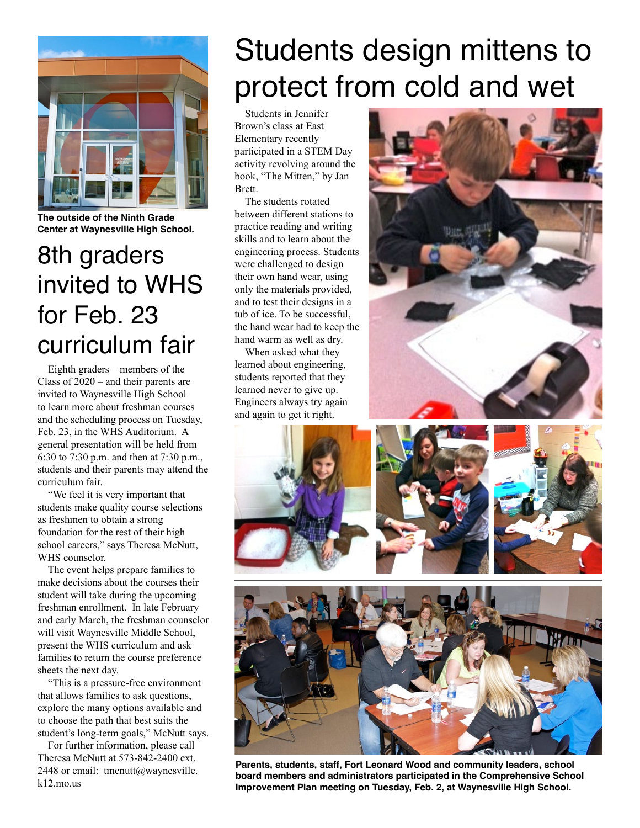

**The outside of the Ninth Grade Center at Waynesville High School.** 

### 8th graders invited to WHS for Feb. 23 curriculum fair

 Eighth graders – members of the Class of 2020 – and their parents are invited to Waynesville High School to learn more about freshman courses and the scheduling process on Tuesday, Feb. 23, in the WHS Auditorium. A general presentation will be held from 6:30 to 7:30 p.m. and then at 7:30 p.m., students and their parents may attend the curriculum fair.

 "We feel it is very important that students make quality course selections as freshmen to obtain a strong foundation for the rest of their high school careers," says Theresa McNutt, WHS counselor.

 The event helps prepare families to make decisions about the courses their student will take during the upcoming freshman enrollment. In late February and early March, the freshman counselor will visit Waynesville Middle School, present the WHS curriculum and ask families to return the course preference sheets the next day.

 "This is a pressure-free environment that allows families to ask questions, explore the many options available and to choose the path that best suits the student's long-term goals," McNutt says.

 For further information, please call Theresa McNutt at 573-842-2400 ext. 2448 or email:  $t$ mcnutt@waynesville. k12.mo.us

# Students design mittens to protect from cold and wet

 Students in Jennifer Brown's class at East Elementary recently participated in a STEM Day activity revolving around the book, "The Mitten," by Jan Brett.

 The students rotated between different stations to practice reading and writing skills and to learn about the engineering process. Students were challenged to design their own hand wear, using only the materials provided, and to test their designs in a tub of ice. To be successful, the hand wear had to keep the hand warm as well as dry.

 When asked what they learned about engineering, students reported that they learned never to give up. Engineers always try again and again to get it right.











**Parents, students, staff, Fort Leonard Wood and community leaders, school board members and administrators participated in the Comprehensive School Improvement Plan meeting on Tuesday, Feb. 2, at Waynesville High School.**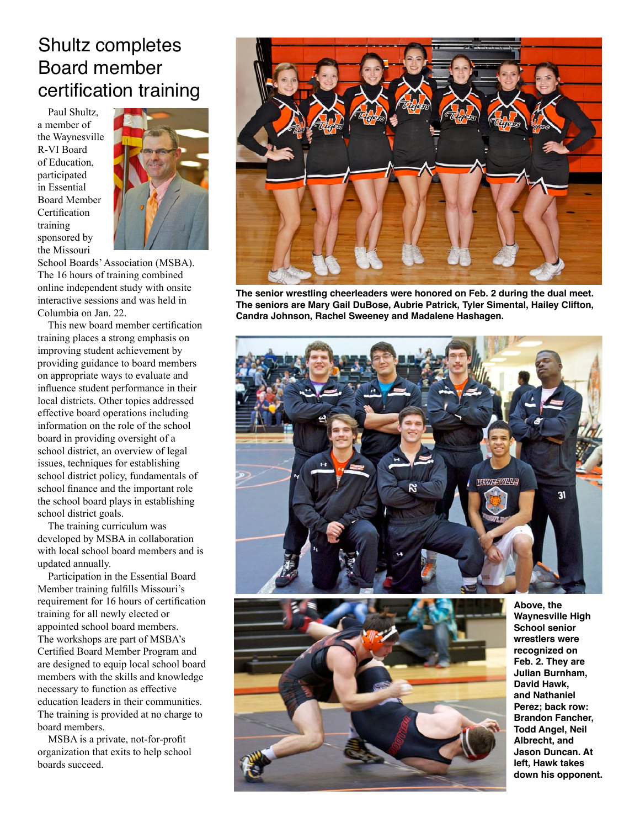#### Shultz completes Board member certification training

 Paul Shultz, a member of the Waynesville R-VI Board of Education, participated in Essential Board Member **Certification** training sponsored by the Missouri



School Boards' Association (MSBA). The 16 hours of training combined online independent study with onsite interactive sessions and was held in Columbia on Jan. 22.

 This new board member certification training places a strong emphasis on improving student achievement by providing guidance to board members on appropriate ways to evaluate and influence student performance in their local districts. Other topics addressed effective board operations including information on the role of the school board in providing oversight of a school district, an overview of legal issues, techniques for establishing school district policy, fundamentals of school finance and the important role the school board plays in establishing school district goals.

 The training curriculum was developed by MSBA in collaboration with local school board members and is updated annually.

 Participation in the Essential Board Member training fulfills Missouri's requirement for 16 hours of certification training for all newly elected or appointed school board members. The workshops are part of MSBA's Certified Board Member Program and are designed to equip local school board members with the skills and knowledge necessary to function as effective education leaders in their communities. The training is provided at no charge to board members.

 MSBA is a private, not-for-profit organization that exits to help school boards succeed.



**The senior wrestling cheerleaders were honored on Feb. 2 during the dual meet. The seniors are Mary Gail DuBose, Aubrie Patrick, Tyler Simental, Hailey Clifton, Candra Johnson, Rachel Sweeney and Madalene Hashagen.**





**Above, the Waynesville High School senior wrestlers were recognized on Feb. 2. They are Julian Burnham, David Hawk, and Nathaniel Perez; back row: Brandon Fancher, Todd Angel, Neil Albrecht, and Jason Duncan. At left, Hawk takes down his opponent.**